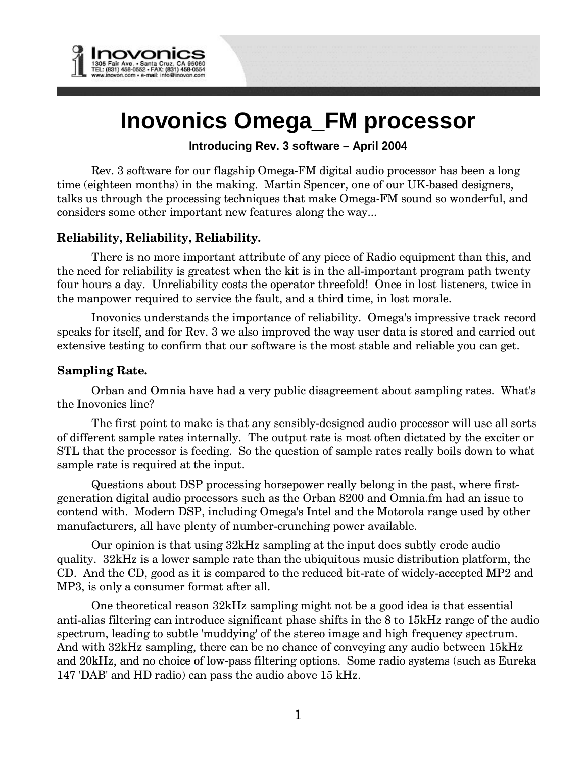

# **Inovonics Omega\_FM processor**

## **Introducing Rev. 3 software – April 2004**

Rev. 3 software for our flagship Omega-FM digital audio processor has been a long time (eighteen months) in the making. Martin Spencer, one of our UK-based designers, talks us through the processing techniques that make Omega-FM sound so wonderful, and considers some other important new features along the way...

## **Reliability, Reliability, Reliability.**

There is no more important attribute of any piece of Radio equipment than this, and the need for reliability is greatest when the kit is in the all-important program path twenty four hours a day. Unreliability costs the operator threefold! Once in lost listeners, twice in the manpower required to service the fault, and a third time, in lost morale.

Inovonics understands the importance of reliability. Omega's impressive track record speaks for itself, and for Rev. 3 we also improved the way user data is stored and carried out extensive testing to confirm that our software is the most stable and reliable you can get.

## **Sampling Rate.**

Orban and Omnia have had a very public disagreement about sampling rates. What's the Inovonics line?

The first point to make is that any sensibly-designed audio processor will use all sorts of different sample rates internally. The output rate is most often dictated by the exciter or STL that the processor is feeding. So the question of sample rates really boils down to what sample rate is required at the input.

Questions about DSP processing horsepower really belong in the past, where firstgeneration digital audio processors such as the Orban 8200 and Omnia.fm had an issue to contend with. Modern DSP, including Omega's Intel and the Motorola range used by other manufacturers, all have plenty of number-crunching power available.

Our opinion is that using 32kHz sampling at the input does subtly erode audio quality. 32kHz is a lower sample rate than the ubiquitous music distribution platform, the CD. And the CD, good as it is compared to the reduced bit-rate of widely-accepted MP2 and MP3, is only a consumer format after all.

One theoretical reason 32kHz sampling might not be a good idea is that essential anti-alias filtering can introduce significant phase shifts in the 8 to 15kHz range of the audio spectrum, leading to subtle 'muddying' of the stereo image and high frequency spectrum. And with 32kHz sampling, there can be no chance of conveying any audio between 15kHz and 20kHz, and no choice of low-pass filtering options. Some radio systems (such as Eureka 147 'DAB' and HD radio) can pass the audio above 15 kHz.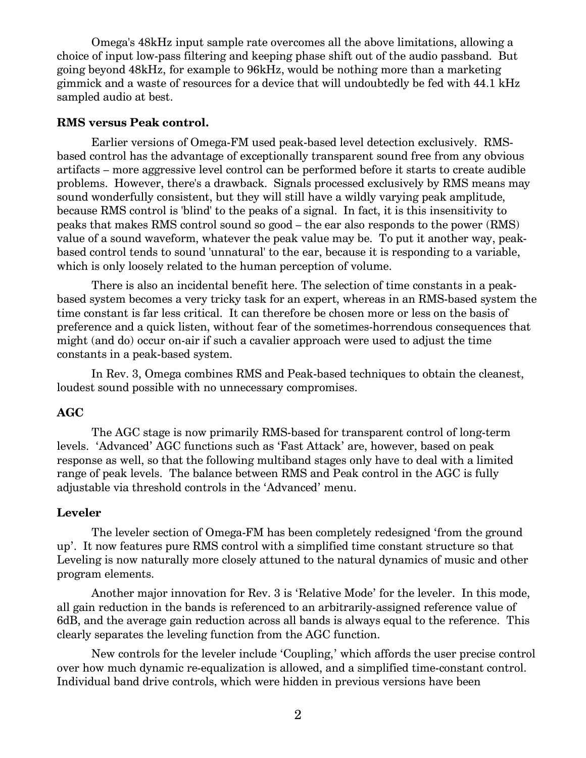Omega's 48kHz input sample rate overcomes all the above limitations, allowing a choice of input low-pass filtering and keeping phase shift out of the audio passband. But going beyond 48kHz, for example to 96kHz, would be nothing more than a marketing gimmick and a waste of resources for a device that will undoubtedly be fed with 44.1 kHz sampled audio at best.

#### **RMS versus Peak control.**

Earlier versions of Omega-FM used peak-based level detection exclusively. RMSbased control has the advantage of exceptionally transparent sound free from any obvious artifacts { more aggressive level control can be performed before it starts to create audible problems. However, there's a drawback. Signals processed exclusively by RMS means may sound wonderfully consistent, but they will still have a wildly varying peak amplitude, because RMS control is 'blind' to the peaks of a signal. In fact, it is this insensitivity to peaks that makes RMS control sound so good – the ear also responds to the power (RMS) value of a sound waveform, whatever the peak value may be. To put it another way, peakbased control tends to sound 'unnatural' to the ear, because it is responding to a variable, which is only loosely related to the human perception of volume.

There is also an incidental benefit here. The selection of time constants in a peakbased system becomes a very tricky task for an expert, whereas in an RMS-based system the time constant is far less critical. It can therefore be chosen more or less on the basis of preference and a quick listen, without fear of the sometimes-horrendous consequences that might (and do) occur on-air if such a cavalier approach were used to adjust the time constants in a peak-based system.

In Rev. 3, Omega combines RMS and Peak-based techniques to obtain the cleanest, loudest sound possible with no unnecessary compromises.

#### **AGC**

The AGC stage is now primarily RMS-based for transparent control of long-term levels. 'Advanced' AGC functions such as 'Fast Attack' are, however, based on peak response as well, so that the following multiband stages only have to deal with a limited range of peak levels. The balance between RMS and Peak control in the AGC is fully adjustable via threshold controls in the 'Advanced' menu.

### **Leveler**

The leveler section of Omega-FM has been completely redesigned 'from the ground up. It now features pure RMS control with a simplified time constant structure so that Leveling is now naturally more closely attuned to the natural dynamics of music and other program elements.

Another major innovation for Rev. 3 is 'Relative Mode' for the leveler. In this mode, all gain reduction in the bands is referenced to an arbitrarily-assigned reference value of 6dB, and the average gain reduction across all bands is always equal to the reference. This clearly separates the leveling function from the AGC function.

New controls for the leveler include 'Coupling,' which affords the user precise control over how much dynamic re-equalization is allowed, and a simplified time-constant control. Individual band drive controls, which were hidden in previous versions have been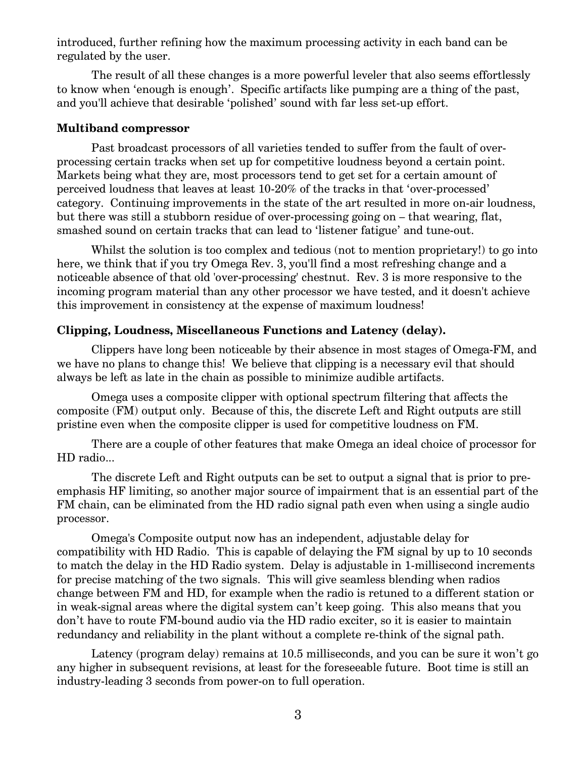introduced, further refining how the maximum processing activity in each band can be regulated by the user.

The result of all these changes is a more powerful leveler that also seems effortlessly to know when 'enough is enough'. Specific artifacts like pumping are a thing of the past, and you'll achieve that desirable 'polished' sound with far less set-up effort.

#### **Multiband compressor**

Past broadcast processors of all varieties tended to suffer from the fault of overprocessing certain tracks when set up for competitive loudness beyond a certain point. Markets being what they are, most processors tend to get set for a certain amount of perceived loudness that leaves at least 10-20% of the tracks in that 'over-processed' category. Continuing improvements in the state of the art resulted in more on-air loudness, but there was still a stubborn residue of over-processing going on  $-$  that wearing, flat, smashed sound on certain tracks that can lead to 'listener fatigue' and tune-out.

Whilst the solution is too complex and tedious (not to mention proprietary!) to go into here, we think that if you try Omega Rev. 3, you'll find a most refreshing change and a noticeable absence of that old 'over-processing' chestnut. Rev. 3 is more responsive to the incoming program material than any other processor we have tested, and it doesn't achieve this improvement in consistency at the expense of maximum loudness!

## **Clipping, Loudness, Miscellaneous Functions and Latency (delay).**

Clippers have long been noticeable by their absence in most stages of Omega-FM, and we have no plans to change this! We believe that clipping is a necessary evil that should always be left as late in the chain as possible to minimize audible artifacts.

Omega uses a composite clipper with optional spectrum filtering that affects the composite (FM) output only. Because of this, the discrete Left and Right outputs are still pristine even when the composite clipper is used for competitive loudness on FM.

There are a couple of other features that make Omega an ideal choice of processor for HD radio...

The discrete Left and Right outputs can be set to output a signal that is prior to preemphasis HF limiting, so another major source of impairment that is an essential part of the FM chain, can be eliminated from the HD radio signal path even when using a single audio processor.

Omega's Composite output now has an independent, adjustable delay for compatibility with HD Radio. This is capable of delaying the FM signal by up to 10 seconds to match the delay in the HD Radio system. Delay is adjustable in 1-millisecond increments for precise matching of the two signals. This will give seamless blending when radios change between FM and HD, for example when the radio is retuned to a different station or in weak-signal areas where the digital system can't keep going. This also means that you don't have to route FM-bound audio via the HD radio exciter, so it is easier to maintain redundancy and reliability in the plant without a complete re-think of the signal path.

Latency (program delay) remains at 10.5 milliseconds, and you can be sure it won't go any higher in subsequent revisions, at least for the foreseeable future. Boot time is still an industry-leading 3 seconds from power-on to full operation.